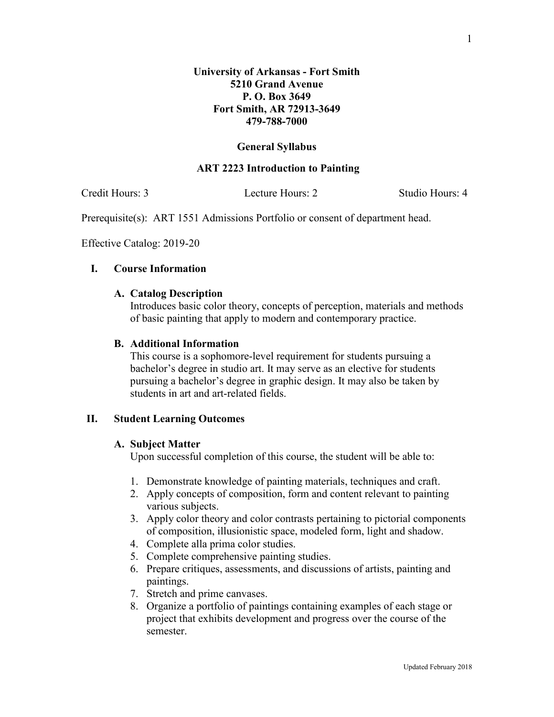### **General Syllabus**

#### **ART 2223 Introduction to Painting**

Credit Hours: 3 Lecture Hours: 2 Studio Hours: 4

Prerequisite(s): ART 1551 Admissions Portfolio or consent of department head.

Effective Catalog: 2019-20

### **I. Course Information**

### **A. Catalog Description**

Introduces basic color theory, concepts of perception, materials and methods of basic painting that apply to modern and contemporary practice.

## **B. Additional Information**

This course is a sophomore-level requirement for students pursuing a bachelor's degree in studio art. It may serve as an elective for students pursuing a bachelor's degree in graphic design. It may also be taken by students in art and art-related fields.

### **II. Student Learning Outcomes**

#### **A. Subject Matter**

Upon successful completion of this course, the student will be able to:

- 1. Demonstrate knowledge of painting materials, techniques and craft.
- 2. Apply concepts of composition, form and content relevant to painting various subjects.
- 3. Apply color theory and color contrasts pertaining to pictorial components of composition, illusionistic space, modeled form, light and shadow.
- 4. Complete alla prima color studies.
- 5. Complete comprehensive painting studies.
- 6. Prepare critiques, assessments, and discussions of artists, painting and paintings.
- 7. Stretch and prime canvases.
- 8. Organize a portfolio of paintings containing examples of each stage or project that exhibits development and progress over the course of the semester.